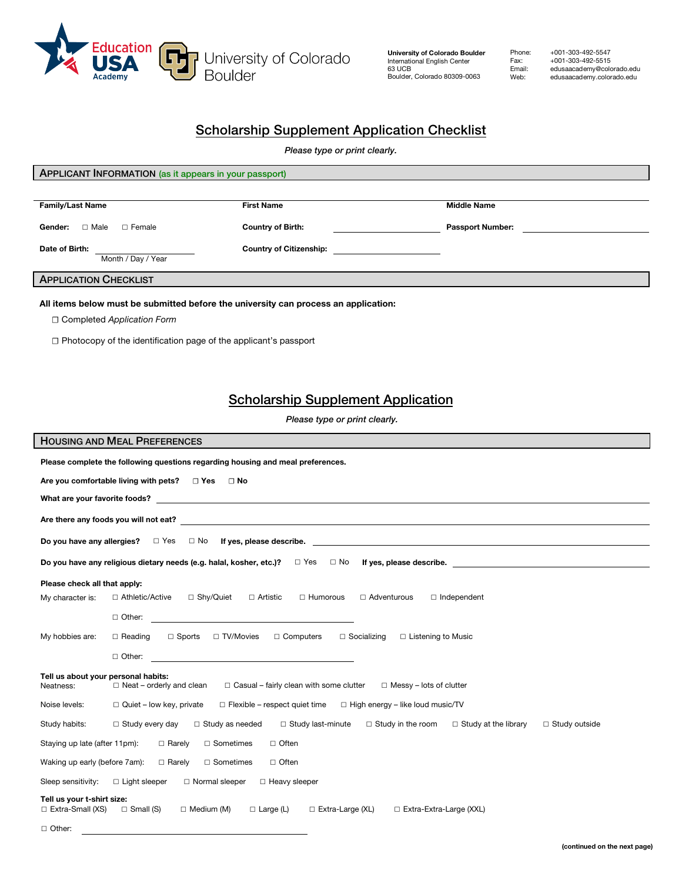

**University of Colorado Boulder** International English Center 63 UCB Boulder, Colorado 80309-0063

Phone: +001-303-492-5547<br>Fax: +001-303-492-5515<br>Email: edusaacademy@colo Fax: +001-303-492-5515 Email: edusaacademy@colorado.edu<br>Web: edusaacademy.colorado.edu edusaacademy.colorado.edu

# Scholarship Supplement Application Checklist

*Please type or print clearly.*

| APPLICANT INFORMATION (as it appears in your passport)                                                                                                                                                                        |                                                                     |                         |
|-------------------------------------------------------------------------------------------------------------------------------------------------------------------------------------------------------------------------------|---------------------------------------------------------------------|-------------------------|
|                                                                                                                                                                                                                               |                                                                     |                         |
|                                                                                                                                                                                                                               |                                                                     |                         |
| <b>Family/Last Name</b>                                                                                                                                                                                                       | <b>First Name</b>                                                   | <b>Middle Name</b>      |
| Gender: <b>D</b> Male<br>□ Female                                                                                                                                                                                             | <b>Country of Birth:</b><br><u> 1989 - Johann Barbara, martxa a</u> | <b>Passport Number:</b> |
|                                                                                                                                                                                                                               |                                                                     |                         |
| Date of Birth:                                                                                                                                                                                                                | <b>Country of Citizenship:</b>                                      |                         |
| Month / Day / Year                                                                                                                                                                                                            |                                                                     |                         |
| <b>APPLICATION CHECKLIST</b>                                                                                                                                                                                                  |                                                                     |                         |
|                                                                                                                                                                                                                               |                                                                     |                         |
| All items below must be submitted before the university can process an application:                                                                                                                                           |                                                                     |                         |
| $\Box$ Completed Application Form                                                                                                                                                                                             |                                                                     |                         |
|                                                                                                                                                                                                                               |                                                                     |                         |
| $\Box$ Photocopy of the identification page of the applicant's passport                                                                                                                                                       |                                                                     |                         |
|                                                                                                                                                                                                                               |                                                                     |                         |
|                                                                                                                                                                                                                               |                                                                     |                         |
|                                                                                                                                                                                                                               |                                                                     |                         |
| <b>Scholarship Supplement Application</b>                                                                                                                                                                                     |                                                                     |                         |
|                                                                                                                                                                                                                               |                                                                     |                         |
| Please type or print clearly.                                                                                                                                                                                                 |                                                                     |                         |
| <b>HOUSING AND MEAL PREFERENCES</b>                                                                                                                                                                                           |                                                                     |                         |
| Please complete the following questions regarding housing and meal preferences.                                                                                                                                               |                                                                     |                         |
|                                                                                                                                                                                                                               |                                                                     |                         |
| Are you comfortable living with pets? $\Box$ Yes $\Box$ No                                                                                                                                                                    |                                                                     |                         |
| What are your favorite foods? The contract of the contract of the contract of the contract of the contract of the contract of the contract of the contract of the contract of the contract of the contract of the contract of |                                                                     |                         |
|                                                                                                                                                                                                                               |                                                                     |                         |
|                                                                                                                                                                                                                               |                                                                     |                         |
|                                                                                                                                                                                                                               |                                                                     |                         |
|                                                                                                                                                                                                                               |                                                                     |                         |
| Do you have any religious dietary needs (e.g. halal, kosher, etc.)?<br>$\Box$ Yes<br>$\Box$ No<br>If yes, please describe.                                                                                                    |                                                                     |                         |

**Please check all that apply:**  My character is: □ Athletic/Active □ Shy/Quiet □ Artistic □ Humorous □ Adventurous □ Independent ☐ Other: My hobbies are: ☐ Reading ☐ Sports ☐ TV/Movies ☐ Computers ☐ Socializing ☐ Listening to Music ☐ Other: **Tell us about your personal habits:**  Neatness: □ Neat – orderly and clean □ Casual – fairly clean with some clutter □ Messy – lots of clutter Noise levels: □ Quiet – low key, private □ Flexible – respect quiet time □ High energy – like loud music/TV Study habits: ☐ Study every day ☐ Study as needed ☐ Study last-minute ☐ Study in the room ☐ Study at the library ☐ Study outside Staying up late (after 11pm):  $□$  Rarely  $□$  Sometimes Waking up early (before 7am): □ Rarely □ Sometimes ☐ Often ☐ Often Sleep sensitivity: □ Light sleeper □ Normal sleeper □ Heavy sleeper **Tell us your t-shirt size:** ☐ Extra-Small (XS) ☐ Small (S) ☐ Medium (M) ☐ Large (L) ☐ Extra-Large (XL) ☐ Extra-Extra-Large (XXL) ☐ Other: